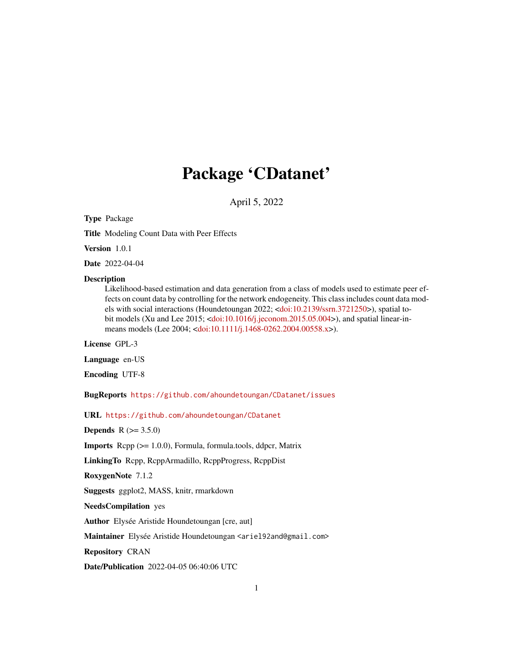# Package 'CDatanet'

April 5, 2022

<span id="page-0-0"></span>Type Package

Title Modeling Count Data with Peer Effects

Version 1.0.1

Date 2022-04-04

#### Description

Likelihood-based estimation and data generation from a class of models used to estimate peer effects on count data by controlling for the network endogeneity. This class includes count data models with social interactions (Houndetoungan 2022; [<doi:10.2139/ssrn.3721250>](https://doi.org/10.2139/ssrn.3721250)), spatial to-bit models (Xu and Lee 2015; [<doi:10.1016/j.jeconom.2015.05.004>](https://doi.org/10.1016/j.jeconom.2015.05.004)), and spatial linear-inmeans models (Lee 2004; [<doi:10.1111/j.1468-0262.2004.00558.x>](https://doi.org/10.1111/j.1468-0262.2004.00558.x)).

License GPL-3

Language en-US

Encoding UTF-8

BugReports <https://github.com/ahoundetoungan/CDatanet/issues>

URL <https://github.com/ahoundetoungan/CDatanet>

**Depends** R  $(>= 3.5.0)$ 

Imports Rcpp (>= 1.0.0), Formula, formula.tools, ddpcr, Matrix

LinkingTo Rcpp, RcppArmadillo, RcppProgress, RcppDist

RoxygenNote 7.1.2

Suggests ggplot2, MASS, knitr, rmarkdown

NeedsCompilation yes

Author Elysée Aristide Houndetoungan [cre, aut]

Maintainer Elysée Aristide Houndetoungan <ariel92and@gmail.com>

Repository CRAN

Date/Publication 2022-04-05 06:40:06 UTC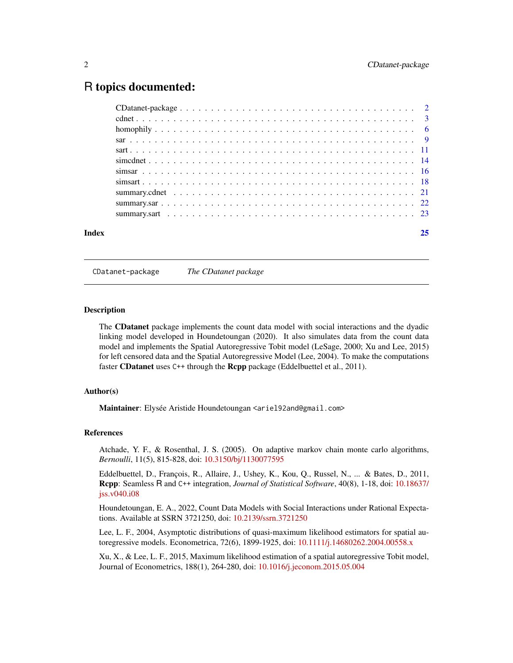# <span id="page-1-0"></span>R topics documented:

| Index | 25 |
|-------|----|
|       |    |
|       |    |
|       |    |
|       |    |
|       |    |
|       |    |
|       |    |
|       |    |
|       |    |
|       |    |
|       |    |

CDatanet-package *The CDatanet package*

#### **Description**

The CDatanet package implements the count data model with social interactions and the dyadic linking model developed in Houndetoungan (2020). It also simulates data from the count data model and implements the Spatial Autoregressive Tobit model (LeSage, 2000; Xu and Lee, 2015) for left censored data and the Spatial Autoregressive Model (Lee, 2004). To make the computations faster **CDatanet** uses C++ through the **Rcpp** package (Eddelbuettel et al., 2011).

## Author(s)

Maintainer: Elysée Aristide Houndetoungan <ariel92and@gmail.com>

#### References

Atchade, Y. F., & Rosenthal, J. S. (2005). On adaptive markov chain monte carlo algorithms, *Bernoulli*, 11(5), 815-828, doi: [10.3150/bj/1130077595](https://doi.org/10.3150/bj/1130077595)

Eddelbuettel, D., François, R., Allaire, J., Ushey, K., Kou, Q., Russel, N., ... & Bates, D., 2011, Rcpp: Seamless R and C++ integration, *Journal of Statistical Software*, 40(8), 1-18, doi: [10.18637/](https://doi.org/10.18637/jss.v040.i08) [jss.v040.i08](https://doi.org/10.18637/jss.v040.i08)

Houndetoungan, E. A., 2022, Count Data Models with Social Interactions under Rational Expectations. Available at SSRN 3721250, doi: [10.2139/ssrn.3721250](https://doi.org/10.2139/ssrn.3721250)

Lee, L. F., 2004, Asymptotic distributions of quasi-maximum likelihood estimators for spatial autoregressive models. Econometrica, 72(6), 1899-1925, doi: [10.1111/j.14680262.2004.00558.x](https://doi.org/10.1111/j.1468-0262.2004.00558.x)

Xu, X., & Lee, L. F., 2015, Maximum likelihood estimation of a spatial autoregressive Tobit model, Journal of Econometrics, 188(1), 264-280, doi: [10.1016/j.jeconom.2015.05.004](https://doi.org/10.1016/j.jeconom.2015.05.004)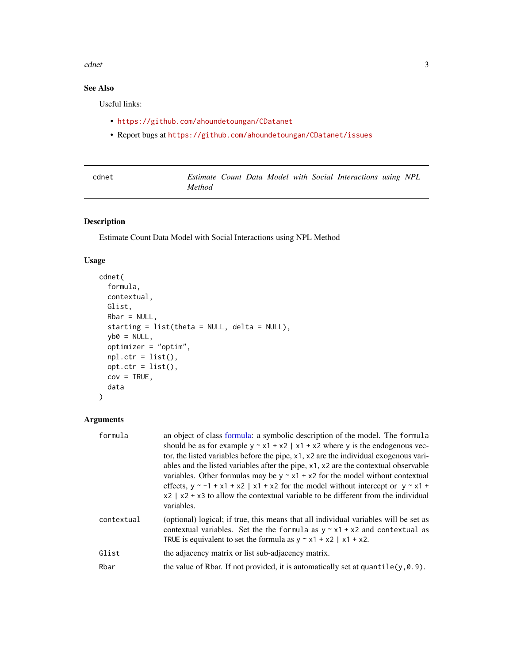#### <span id="page-2-0"></span>cdnet 3

# See Also

Useful links:

- <https://github.com/ahoundetoungan/CDatanet>
- Report bugs at <https://github.com/ahoundetoungan/CDatanet/issues>

<span id="page-2-1"></span>

| cdnet |               |  |  | Estimate Count Data Model with Social Interactions using NPL |  |
|-------|---------------|--|--|--------------------------------------------------------------|--|
|       | <i>Method</i> |  |  |                                                              |  |

# Description

Estimate Count Data Model with Social Interactions using NPL Method

#### Usage

```
cdnet(
  formula,
 contextual,
 Glist,
 Rbar = NULL,
  starting = list(theta = NULL, delta = NULL),
 yb0 = NULL,optimizer = "optim",
 npl.ctr = list(),opt.ctr = list(),
 cov = TRUE,data
)
```
## Arguments

| formula    | an object of class formula: a symbolic description of the model. The formula<br>should be as for example $y \sim x1 + x2$   x1 + x2 where y is the endogenous vec-<br>tor, the listed variables before the pipe, $x1$ , $x2$ are the individual exogenous vari-<br>ables and the listed variables after the pipe, x1, x2 are the contextual observable<br>variables. Other formulas may be $y \sim x1 + x2$ for the model without contextual<br>effects, $y \sim -1 + x1 + x2$   x1 + x2 for the model without intercept or $y \sim x1 +$<br>$x2$   $x2 + x3$ to allow the contextual variable to be different from the individual<br>variables. |
|------------|--------------------------------------------------------------------------------------------------------------------------------------------------------------------------------------------------------------------------------------------------------------------------------------------------------------------------------------------------------------------------------------------------------------------------------------------------------------------------------------------------------------------------------------------------------------------------------------------------------------------------------------------------|
| contextual | (optional) logical; if true, this means that all individual variables will be set as<br>contextual variables. Set the the formula as $y \sim x1 + x2$ and contextual as<br>TRUE is equivalent to set the formula as $y \sim x1 + x2$   x1 + x2.                                                                                                                                                                                                                                                                                                                                                                                                  |
| Glist      | the adjacency matrix or list sub-adjacency matrix.                                                                                                                                                                                                                                                                                                                                                                                                                                                                                                                                                                                               |
| Rbar       | the value of Rbar. If not provided, it is automatically set at quantile $(y, 0.9)$ .                                                                                                                                                                                                                                                                                                                                                                                                                                                                                                                                                             |
|            |                                                                                                                                                                                                                                                                                                                                                                                                                                                                                                                                                                                                                                                  |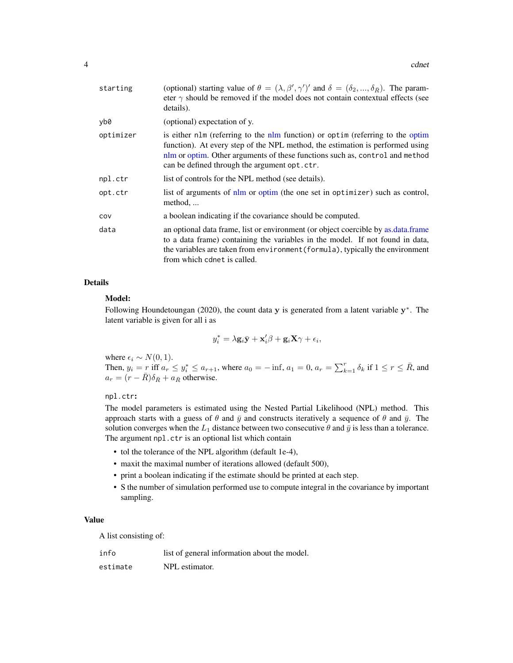<span id="page-3-0"></span>

| starting  | (optional) starting value of $\theta = (\lambda, \beta', \gamma')'$ and $\delta = (\delta_2, , \delta_{\bar{R}})$ . The param-<br>eter $\gamma$ should be removed if the model does not contain contextual effects (see<br>details).                                                            |
|-----------|-------------------------------------------------------------------------------------------------------------------------------------------------------------------------------------------------------------------------------------------------------------------------------------------------|
| yb0       | (optional) expectation of y.                                                                                                                                                                                                                                                                    |
| optimizer | is either nlm (referring to the nlm function) or optim (referring to the optim<br>function). At every step of the NPL method, the estimation is performed using<br>nlm or optim. Other arguments of these functions such as, control and method<br>can be defined through the argument opt.ctr. |
| npl.ctr   | list of controls for the NPL method (see details).                                                                                                                                                                                                                                              |
| opt.ctr   | list of arguments of nlm or optim (the one set in optimizer) such as control,<br>method,                                                                                                                                                                                                        |
| COV       | a boolean indicating if the covariance should be computed.                                                                                                                                                                                                                                      |
| data      | an optional data frame, list or environment (or object coercible by as data frame<br>to a data frame) containing the variables in the model. If not found in data,<br>the variables are taken from environment (formula), typically the environment<br>from which cdnet is called.              |

## Details

#### Model:

Following Houndetoungan (2020), the count data  $y$  is generated from a latent variable  $y^*$ . The latent variable is given for all i as

$$
y_i^* = \lambda \mathbf{g}_i \bar{\mathbf{y}} + \mathbf{x}_i' \beta + \mathbf{g}_i \mathbf{X} \gamma + \epsilon_i,
$$

where  $\epsilon_i \sim N(0, 1)$ .

Then,  $y_i = r$  iff  $a_r \le y_i^* \le a_{r+1}$ , where  $a_0 = -\inf$ ,  $a_1 = 0$ ,  $a_r = \sum_{k=1}^r \delta_k$  if  $1 \le r \le \overline{R}$ , and  $a_r = (r - \bar{R}) \delta_{\bar{R}} + a_{\bar{R}}$  otherwise.

#### npl.ctr:

The model parameters is estimated using the Nested Partial Likelihood (NPL) method. This approach starts with a guess of  $\theta$  and  $\bar{y}$  and constructs iteratively a sequence of  $\theta$  and  $\bar{y}$ . The solution converges when the  $L_1$  distance between two consecutive  $\theta$  and  $\bar{y}$  is less than a tolerance. The argument npl.ctr is an optional list which contain

- tol the tolerance of the NPL algorithm (default 1e-4),
- maxit the maximal number of iterations allowed (default 500),
- print a boolean indicating if the estimate should be printed at each step.
- S the number of simulation performed use to compute integral in the covariance by important sampling.

#### Value

A list consisting of:

| info     | list of general information about the model. |
|----------|----------------------------------------------|
| estimate | NPL estimator.                               |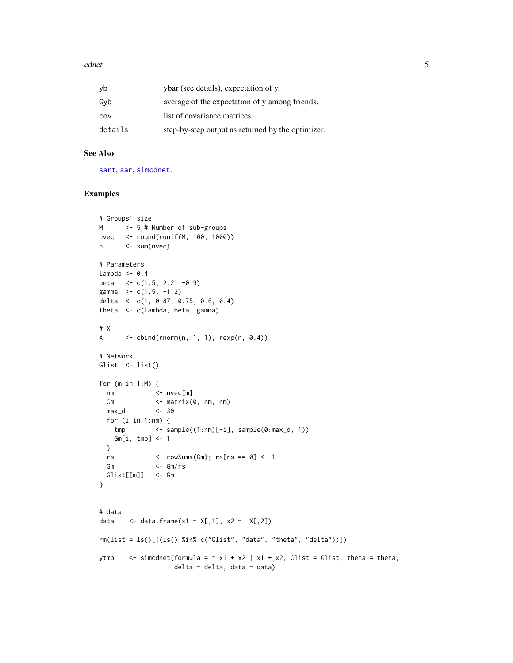#### <span id="page-4-0"></span>cdnet 5

| yb      | ybar (see details), expectation of y.             |
|---------|---------------------------------------------------|
| Gyb     | average of the expectation of y among friends.    |
| cov     | list of covariance matrices.                      |
| details | step-by-step output as returned by the optimizer. |

## See Also

[sart](#page-10-1), [sar](#page-8-1), [simcdnet](#page-13-1).

#### Examples

```
# Groups' size
M <- 5 # Number of sub-groups
nvec <- round(runif(M, 100, 1000))
n <- sum(nvec)
# Parameters
lambda <- 0.4
beta \leq c(1.5, 2.2, -0.9)
gamma <-c(1.5, -1.2)delta <- c(1, 0.87, 0.75, 0.6, 0.4)
theta <- c(lambda, beta, gamma)
# X
X \leftarrow \text{cbind}(rnorm(n, 1, 1), \text{rexp}(n, 0.4))# Network
Glist <- list()
for (m in 1:M) {
 nm <- nvec[m]
 Gm \leq matrix(0, nm, nm)
 max_d <- 30
 for (i in 1:nm) {
  tmp <- sample((1:nm)[-i], sample(0:max_d, 1))
  Gm[i, tmp] <- 1
 }
 rs \leftarrow rowSums(Gm); rs[rs == 0] \leftarrow 1
 Gm <- Gm/rs
 Glist[[m]] <- Gm
}
# data
data \leq data.frame(x1 = X[,1], x2 = X[,2])
rm(list = ls()[:(ls() %in% c("Glist", "data", "theta", "delta", "delta"))])ytmp \le - simcdnet(formula = \sim x1 + x2 | x1 + x2, Glist = Glist, theta = theta,
                   delta = delta, data = data)
```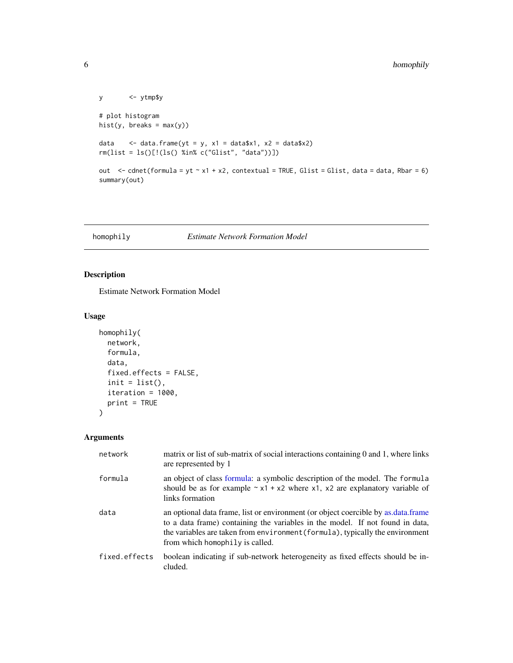```
y <- ytmp$y
# plot histogram
hist(y, breaks = max(y))
data \leq data.frame(yt = y, x1 = data$x1, x2 = data$x2)
rm(list = ls()[!(ls() %in% c("Glist", "data"))])
out \le - cdnet(formula = yt \sim x1 + x2, contextual = TRUE, Glist = Glist, data = data, Rbar = 6)
summary(out)
```
## homophily *Estimate Network Formation Model*

## Description

Estimate Network Formation Model

#### Usage

```
homophily(
 network,
  formula,
 data,
  fixed.effects = FALSE,
  init = list(),iteration = 1000,
 print = TRUE
)
```
## Arguments

| network       | matrix or list of sub-matrix of social interactions containing 0 and 1, where links<br>are represented by 1                                                                                                                                                                            |
|---------------|----------------------------------------------------------------------------------------------------------------------------------------------------------------------------------------------------------------------------------------------------------------------------------------|
| formula       | an object of class formula: a symbolic description of the model. The formula<br>should be as for example $\sim x1 + x2$ where x1, x2 are explanatory variable of<br>links formation                                                                                                    |
| data          | an optional data frame, list or environment (or object coercible by as data frame<br>to a data frame) containing the variables in the model. If not found in data,<br>the variables are taken from environment (formula), typically the environment<br>from which homophily is called. |
| fixed.effects | boolean indicating if sub-network heterogeneity as fixed effects should be in-<br>cluded.                                                                                                                                                                                              |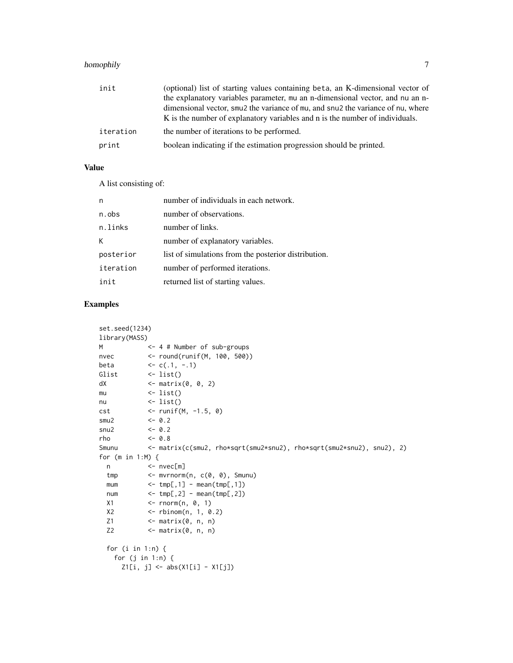# homophily 7

| init      | (optional) list of starting values containing beta, an K-dimensional vector of                          |
|-----------|---------------------------------------------------------------------------------------------------------|
|           | the explanatory variables parameter, mu an n-dimensional vector, and nu an n-                           |
|           | dimensional vector, smu <sub>2</sub> the variance of mu, and snu <sub>2</sub> the variance of nu, where |
|           | K is the number of explanatory variables and n is the number of individuals.                            |
| iteration | the number of iterations to be performed.                                                               |
| print     | boolean indicating if the estimation progression should be printed.                                     |

## Value

A list consisting of:

| n         | number of individuals in each network.               |
|-----------|------------------------------------------------------|
| n.obs     | number of observations.                              |
| n.links   | number of links.                                     |
| к         | number of explanatory variables.                     |
| posterior | list of simulations from the posterior distribution. |
| iteration | number of performed iterations.                      |
| init      | returned list of starting values.                    |

## Examples

```
set.seed(1234)
library(MASS)
M <- 4 # Number of sub-groups
nvec <- round(runif(M, 100, 500))
beta \langle -c(.1, -.1) \rangleGlist <- list()
dX \leftarrow matrix(0, 0, 2)mu \leftarrow list()nu <- list()
cst <- runif(M, -1.5, 0)
smu2 <-0.2snu2 <- 0.2
rho <- 0.8
Smunu <- matrix(c(smu2, rho*sqrt(smu2*snu2), rho*sqrt(smu2*snu2), snu2), 2)
for (m in 1:M) {
 n <- nvec[m]
 tmp <- mvrnorm(n, c(0, 0), Smunu)
 mum \leftarrow \text{tmp[,1]} - \text{mean}(\text{tmp[,1]})num <- tmp[,2] - mean(tmp[,2])
 X1 <- rnorm(n, 0, 1)X2 <- rbinom(n, 1, 0.2)
 Z1 \leftarrow \text{matrix}(0, n, n)Z2 <- matrix(0, n, n)
 for (i in 1:n) {
   for (j in 1:n) {
     Z1[i, j] \leftarrow abs(X1[i] - X1[j])
```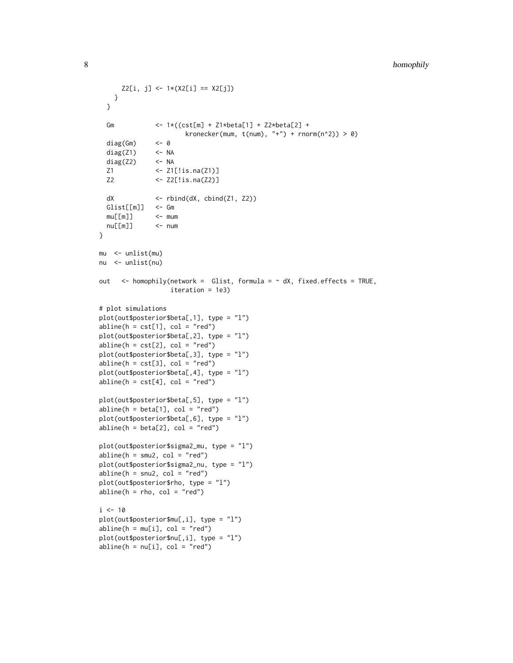```
Z2[i, j] \leq 1 \times (X2[i] == X2[j])}
 }
 Gm <- 1*((cst[m] + Z1*beta[1] + Z2*beta[2] +
                      kronecker(mum, t(num), "+") + rnorm(n^2)) > 0)
 diag(Gm) <- 0
 diag(Z1) <- NA
 diag(Z2) <- NA
 Z1 <- Z1[!is.na(Z1)]
 Z2 <- Z2[!is.na(Z2)]
 dX \leftarrow \text{rbind}(dX, \text{cbind}(Z1, Z2))Glist[[m]] <- Gm
 mu[[m]] \leq munu[[m]] <- num
}
mu <- unlist(mu)
nu <- unlist(nu)
out \leq homophily(network = Glist, formula = \sim dX, fixed.effects = TRUE,
                  iteration = 1e3)
# plot simulations
plot(out$posterior$beta[,1], type = "l")
abline(h = cst[1], col = "red")plot(out$posterior$beta[,2], type = "l")
abline(h = cst[2], col = "red")plot(out$posterior$beta[,3], type = "l")
abline(h = cst[3], col = "red")plot(out$posterior$beta[,4], type = "l")
abline(h = cst[4], col = "red")plot(out$posterior$beta[,5], type = "l")
abline(h = beta[1], col = "red")plot(out$posterior$beta[,6], type = "l")
abline(h = beta[2], col = "red")plot(out$posterior$sigma2_mu, type = "l")
abline(h = smu2, col = "red")plot(out$posterior$sigma2_nu, type = "l")
abline(h = snu2, col = "red")plot(out$posterior$rho, type = "l")
abline(h = rho, col = "red")i <- 10
plot(out$posterior$mu[,i], type = "l")
abline(h = mu[i], col = "red")plot(out$posterior$nu[,i], type = "l")
abline(h = nu[i], col = "red")
```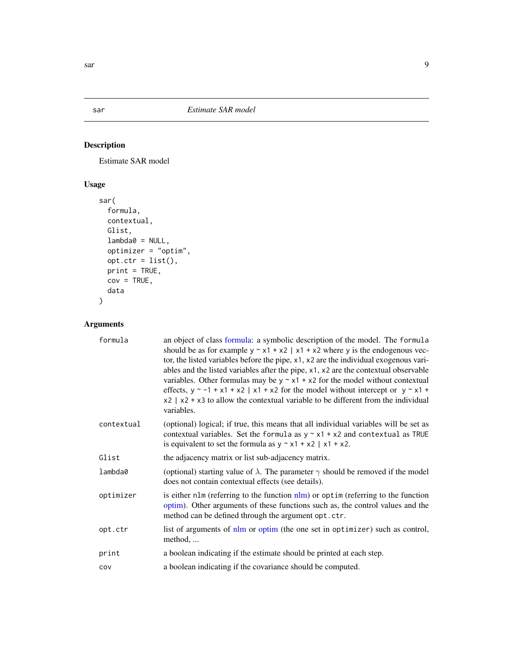# Description

Estimate SAR model

# Usage

```
sar(
 formula,
 contextual,
 Glist,
 lambda@ = NULL,optimizer = "optim",
 opt.ctr = list(),print = TRUE,
 cov = TRUE,data
)
```
# Arguments

| formula    | an object of class formula: a symbolic description of the model. The formula<br>should be as for example $y \sim x1 + x2$   x1 + x2 where y is the endogenous vec-<br>tor, the listed variables before the pipe, x1, x2 are the individual exogenous vari-<br>ables and the listed variables after the pipe, x1, x2 are the contextual observable<br>variables. Other formulas may be $y \sim x1 + x2$ for the model without contextual<br>effects, $y \sim -1 + x1 + x2$   x1 + x2 for the model without intercept or $y \sim x1 +$<br>$x2$   $x2 + x3$ to allow the contextual variable to be different from the individual<br>variables. |
|------------|---------------------------------------------------------------------------------------------------------------------------------------------------------------------------------------------------------------------------------------------------------------------------------------------------------------------------------------------------------------------------------------------------------------------------------------------------------------------------------------------------------------------------------------------------------------------------------------------------------------------------------------------|
| contextual | (optional) logical; if true, this means that all individual variables will be set as<br>contextual variables. Set the formula as $y \sim x1 + x2$ and contextual as TRUE<br>is equivalent to set the formula as $y \sim x1 + x2$   x1 + x2.                                                                                                                                                                                                                                                                                                                                                                                                 |
| Glist      | the adjacency matrix or list sub-adjacency matrix.                                                                                                                                                                                                                                                                                                                                                                                                                                                                                                                                                                                          |
| lambda0    | (optional) starting value of $\lambda$ . The parameter $\gamma$ should be removed if the model<br>does not contain contextual effects (see details).                                                                                                                                                                                                                                                                                                                                                                                                                                                                                        |
| optimizer  | is either nlm (referring to the function $nlm$ ) or optim (referring to the function<br>optim). Other arguments of these functions such as, the control values and the<br>method can be defined through the argument opt.ctr.                                                                                                                                                                                                                                                                                                                                                                                                               |
| opt.ctr    | list of arguments of nlm or optim (the one set in optimizer) such as control,<br>method,                                                                                                                                                                                                                                                                                                                                                                                                                                                                                                                                                    |
| print      | a boolean indicating if the estimate should be printed at each step.                                                                                                                                                                                                                                                                                                                                                                                                                                                                                                                                                                        |
| COV        | a boolean indicating if the covariance should be computed.                                                                                                                                                                                                                                                                                                                                                                                                                                                                                                                                                                                  |

<span id="page-8-1"></span><span id="page-8-0"></span>sar 9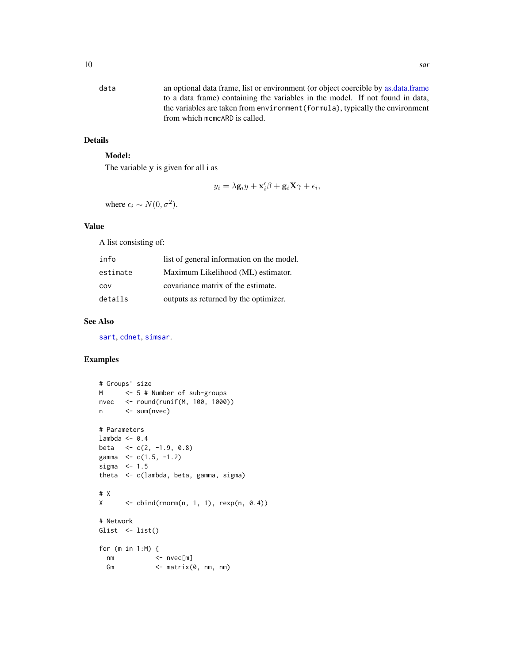<span id="page-9-0"></span>data an optional data frame, list or environment (or object coercible by [as.data.frame](#page-0-0) to a data frame) containing the variables in the model. If not found in data, the variables are taken from environment(formula), typically the environment from which mcmcARD is called.

# Details

# Model:

The variable y is given for all i as

$$
y_i = \lambda \mathbf{g}_i y + \mathbf{x}'_i \beta + \mathbf{g}_i \mathbf{X} \gamma + \epsilon_i,
$$

where  $\epsilon_i \sim N(0, \sigma^2)$ .

#### Value

A list consisting of:

| info     | list of general information on the model. |
|----------|-------------------------------------------|
| estimate | Maximum Likelihood (ML) estimator.        |
| COV      | covariance matrix of the estimate.        |
| details  | outputs as returned by the optimizer.     |

## See Also

[sart](#page-10-1), [cdnet](#page-2-1), [simsar](#page-15-1).

## Examples

```
# Groups' size
M <- 5 # Number of sub-groups
nvec <- round(runif(M, 100, 1000))
n <- sum(nvec)
# Parameters
lambda <- 0.4
beta \langle -c(2, -1.9, 0.8) \ranglegamma \leq c(1.5, -1.2)
sigma <-1.5theta <- c(lambda, beta, gamma, sigma)
# X
X \leftarrow \text{cbind}(rnorm(n, 1, 1), \text{rexp}(n, 0.4))# Network
Glist <- list()
for (m in 1:M) {
 nm <- nvec[m]
  Gm <- matrix(0, nm, nm)
```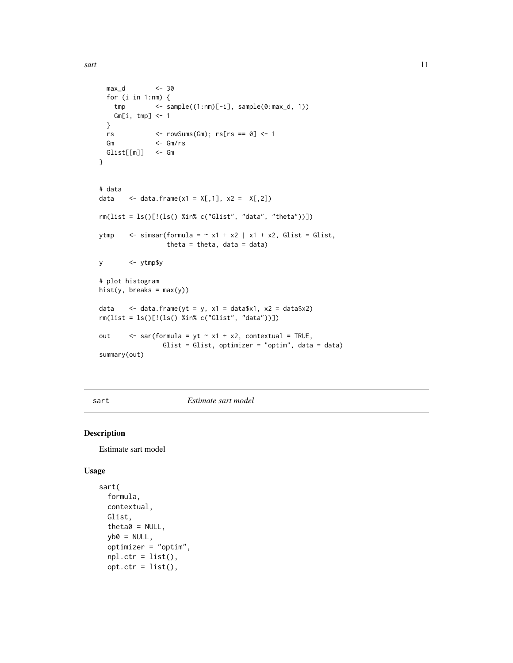<span id="page-10-0"></span>sart the contract of the contract of the contract of the contract of the contract of the contract of the contract of the contract of the contract of the contract of the contract of the contract of the contract of the contr

```
max_d <- 30
 for (i in 1:nm) {
   tmp <- sample((1:nm)[-i], sample(0:max_d, 1))
   Gm[i, tmp] < -1}
 rs <- rowSums(Gm); rs[rs == 0] <- 1
 Gm <- Gm/rs
 Glist[[m]] <- Gm
}
# data
data \leq data.frame(x1 = X[,1], x2 = X[,2])
rm(list = ls()[!(ls() %in% c("Glist", "data", "theta"))])
ytmp \le simsar(formula = \sim x1 + x2 | x1 + x2, Glist = Glist,
                 theta = theta, data = data)
y <- ytmp$y
# plot histogram
hist(y, breaks = max(y))data \leq data.frame(yt = y, x1 = data$x1, x2 = data$x2)
rm(list = ls()[!(ls() %in% c("Glist", "data"))])
out \langle - sar(formula = yt \sim x1 + x2, contextual = TRUE,
                Glist = Glist, optimizer = "optim", data = data)
summary(out)
```
<span id="page-10-1"></span>sart *Estimate sart model*

#### Description

Estimate sart model

#### Usage

```
sart(
  formula,
 contextual,
 Glist,
  theta0 = NULL,v b0 = NULL,
 optimizer = "optim",
 npl.ctr = list(),opt.ctr = list(),
```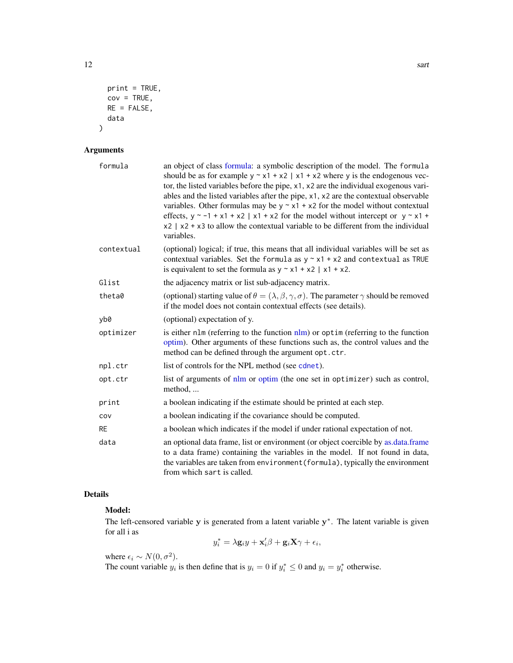```
print = TRUE,cov = TRUE,RE = FALSE,data
)
```
## Arguments

| formula    | an object of class formula: a symbolic description of the model. The formula<br>should be as for example $y \sim x1 + x2$   x1 + x2 where y is the endogenous vec-<br>tor, the listed variables before the pipe, x1, x2 are the individual exogenous vari-<br>ables and the listed variables after the pipe, x1, x2 are the contextual observable<br>variables. Other formulas may be $y \sim x1 + x2$ for the model without contextual<br>effects, $y \sim -1 + x1 + x2$   x1 + x2 for the model without intercept or $y \sim x1 +$<br>$x2$   $x2 + x3$ to allow the contextual variable to be different from the individual<br>variables. |
|------------|---------------------------------------------------------------------------------------------------------------------------------------------------------------------------------------------------------------------------------------------------------------------------------------------------------------------------------------------------------------------------------------------------------------------------------------------------------------------------------------------------------------------------------------------------------------------------------------------------------------------------------------------|
| contextual | (optional) logical; if true, this means that all individual variables will be set as<br>contextual variables. Set the formula as $y \sim x1 + x2$ and contextual as TRUE<br>is equivalent to set the formula as $y \sim x1 + x2$   $x1 + x2$ .                                                                                                                                                                                                                                                                                                                                                                                              |
| Glist      | the adjacency matrix or list sub-adjacency matrix.                                                                                                                                                                                                                                                                                                                                                                                                                                                                                                                                                                                          |
| theta0     | (optional) starting value of $\theta = (\lambda, \beta, \gamma, \sigma)$ . The parameter $\gamma$ should be removed<br>if the model does not contain contextual effects (see details).                                                                                                                                                                                                                                                                                                                                                                                                                                                      |
| yb0        | (optional) expectation of y.                                                                                                                                                                                                                                                                                                                                                                                                                                                                                                                                                                                                                |
| optimizer  | is either nlm (referring to the function nlm) or optim (referring to the function<br>optim). Other arguments of these functions such as, the control values and the<br>method can be defined through the argument opt.ctr.                                                                                                                                                                                                                                                                                                                                                                                                                  |
| npl.ctr    | list of controls for the NPL method (see cdnet).                                                                                                                                                                                                                                                                                                                                                                                                                                                                                                                                                                                            |
| opt.ctr    | list of arguments of nlm or optim (the one set in optimizer) such as control,<br>method,                                                                                                                                                                                                                                                                                                                                                                                                                                                                                                                                                    |
| print      | a boolean indicating if the estimate should be printed at each step.                                                                                                                                                                                                                                                                                                                                                                                                                                                                                                                                                                        |
| COV        | a boolean indicating if the covariance should be computed.                                                                                                                                                                                                                                                                                                                                                                                                                                                                                                                                                                                  |
| <b>RE</b>  | a boolean which indicates if the model if under rational expectation of not.                                                                                                                                                                                                                                                                                                                                                                                                                                                                                                                                                                |
| data       | an optional data frame, list or environment (or object coercible by as data frame<br>to a data frame) containing the variables in the model. If not found in data,<br>the variables are taken from environment (formula), typically the environment<br>from which sart is called.                                                                                                                                                                                                                                                                                                                                                           |

# Details

# Model:

The left-censored variable  $y$  is generated from a latent variable  $y^*$ . The latent variable is given for all i as

$$
y_i^* = \lambda \mathbf{g}_i y + \mathbf{x}_i' \beta + \mathbf{g}_i \mathbf{X} \gamma + \epsilon_i,
$$

where  $\epsilon_i \sim N(0, \sigma^2)$ .

The count variable  $y_i$  is then define that is  $y_i = 0$  if  $y_i^* \le 0$  and  $y_i = y_i^*$  otherwise.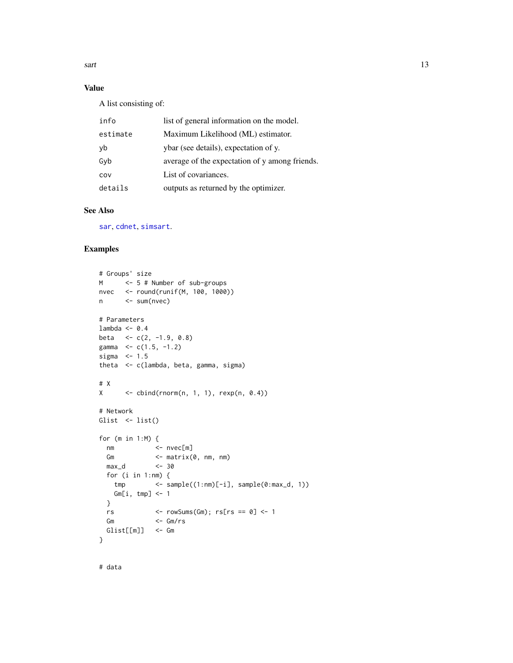<span id="page-12-0"></span> $\text{sqrt}$  13

## Value

A list consisting of:

| info     | list of general information on the model.      |  |
|----------|------------------------------------------------|--|
| estimate | Maximum Likelihood (ML) estimator.             |  |
| yb       | ybar (see details), expectation of y.          |  |
| Gyb      | average of the expectation of y among friends. |  |
| COV      | List of covariances.                           |  |
| details  | outputs as returned by the optimizer.          |  |

## See Also

[sar](#page-8-1), [cdnet](#page-2-1), [simsart](#page-17-1).

### Examples

```
# Groups' size
M <- 5 # Number of sub-groups
nvec <- round(runif(M, 100, 1000))
n <- sum(nvec)
# Parameters
lambda <- 0.4
beta \leq c(2, -1.9, 0.8)gamma \leq c(1.5, -1.2)
sigma <-1.5theta <- c(lambda, beta, gamma, sigma)
# X
X \leftarrow \text{cbind}(rnorm(n, 1, 1), \text{resp}(n, 0.4))# Network
Glist \leftarrow list()
for (m in 1:M) {
 nm <- nvec[m]
 Gm <- matrix(0, nm, nm)
 max_d <- 30
  for (i in 1:nm) {
  tmp <- sample((1:nm)[-i], sample(0:max_d, 1))
   Gm[i, tmp] <- 1
  }
  rs \leftarrow rowSums(Gm); rs[rs == 0] \leftarrow 1Gm <- Gm/rs
  Glist[[m]] <- Gm
}
```
# data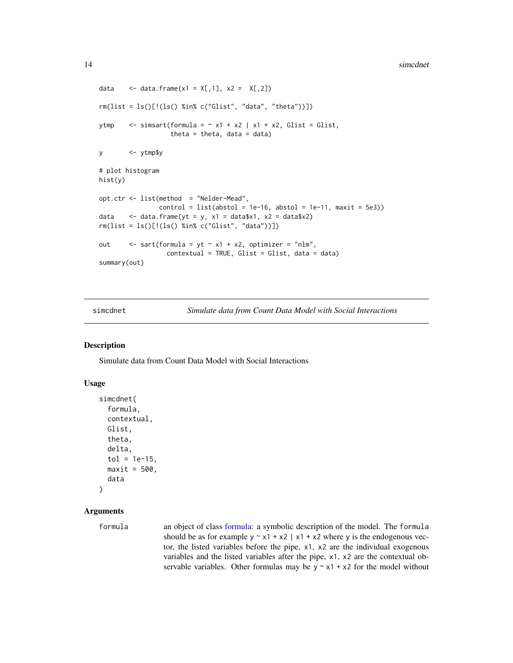```
data \leq data.frame(x1 = X[,1], x2 = X[,2])
rm(list = ls()[!(ls() %in% c("Glist", "data", "theta"))])
ytmp \langle - simsart(formula = \sim x1 + x2 | x1 + x2, Glist = Glist,
                   theta = theta, data = data)
y <- ytmp$y
# plot histogram
hist(y)
opt.ctr <- list(method = "Nelder-Mead",
                control = list(abstol = 1e-16, abstol = 1e-11, maxit = 5e3)data \leq data.frame(yt = y, x1 = data$x1, x2 = data$x2)
rm(list = ls()[!(ls() %in% c("Glist", "data"))])
out \langle - sart(formula = yt \sim x1 + x2, optimizer = "nlm",
                  contextual = TRUE, Glist = Glist, data = data)
summary(out)
```
<span id="page-13-1"></span>simcdnet *Simulate data from Count Data Model with Social Interactions*

## Description

Simulate data from Count Data Model with Social Interactions

#### Usage

```
simcdnet(
  formula,
  contextual,
  Glist,
  theta,
  delta,
  tol = 1e-15,
  maxit = 500,
  data
\lambda
```
## Arguments

formula an object of class [formula:](#page-0-0) a symbolic description of the model. The formula should be as for example  $y \sim x1 + x2$  | x1 + x2 where y is the endogenous vector, the listed variables before the pipe, x1, x2 are the individual exogenous variables and the listed variables after the pipe, x1, x2 are the contextual observable variables. Other formulas may be  $y \sim x1 + x2$  for the model without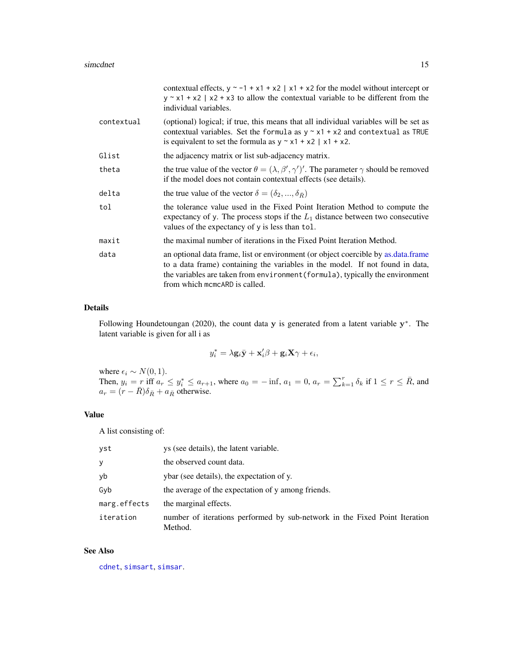<span id="page-14-0"></span>

|            | contextual effects, $y \sim -1 + x1 + x2$   x1 + x2 for the model without intercept or<br>$y \sim x1 + x2$   x2 + x3 to allow the contextual variable to be different from the<br>individual variables.                                                                             |
|------------|-------------------------------------------------------------------------------------------------------------------------------------------------------------------------------------------------------------------------------------------------------------------------------------|
| contextual | (optional) logical; if true, this means that all individual variables will be set as<br>contextual variables. Set the formula as $y \sim x1 + x2$ and contextual as TRUE<br>is equivalent to set the formula as $y \sim x1 + x2$   x1 + x2.                                         |
| Glist      | the adjacency matrix or list sub-adjacency matrix.                                                                                                                                                                                                                                  |
| theta      | the true value of the vector $\theta = (\lambda, \beta', \gamma')'$ . The parameter $\gamma$ should be removed<br>if the model does not contain contextual effects (see details).                                                                                                   |
| delta      | the true value of the vector $\delta = (\delta_2, , \delta_{\bar{R}})$                                                                                                                                                                                                              |
| tol        | the tolerance value used in the Fixed Point Iteration Method to compute the<br>expectancy of y. The process stops if the $L_1$ distance between two consecutive<br>values of the expectancy of y is less than tol.                                                                  |
| maxit      | the maximal number of iterations in the Fixed Point Iteration Method.                                                                                                                                                                                                               |
| data       | an optional data frame, list or environment (or object coercible by as data frame<br>to a data frame) containing the variables in the model. If not found in data,<br>the variables are taken from environment (formula), typically the environment<br>from which memear is called. |

#### Details

Following Houndetoungan (2020), the count data  $y$  is generated from a latent variable  $y^*$ . The latent variable is given for all i as

$$
y_i^* = \lambda \mathbf{g}_i \bar{\mathbf{y}} + \mathbf{x}_i' \beta + \mathbf{g}_i \mathbf{X} \gamma + \epsilon_i,
$$

where  $\epsilon_i \sim N(0, 1)$ . Then,  $y_i = r$  iff  $a_r \le y_i^* \le a_{r+1}$ , where  $a_0 = -\inf$ ,  $a_1 = 0$ ,  $a_r = \sum_{k=1}^r \delta_k$  if  $1 \le r \le \overline{R}$ , and  $a_r = (r - \bar{R})\delta_{\bar{R}} + a_{\bar{R}}$  otherwise.

## Value

A list consisting of:

| yst          | ys (see details), the latent variable.                                                |
|--------------|---------------------------------------------------------------------------------------|
| У            | the observed count data.                                                              |
| yb           | ybar (see details), the expectation of y.                                             |
| Gyb          | the average of the expectation of y among friends.                                    |
| marg.effects | the marginal effects.                                                                 |
| iteration    | number of iterations performed by sub-network in the Fixed Point Iteration<br>Method. |

#### See Also

[cdnet](#page-2-1), [simsart](#page-17-1), [simsar](#page-15-1).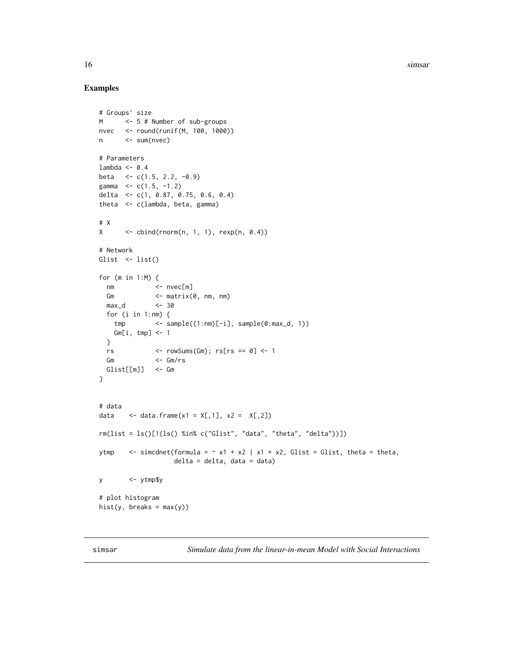<span id="page-15-0"></span>16 simsar

#### Examples

```
# Groups' size
M <- 5 # Number of sub-groups
nvec <- round(runif(M, 100, 1000))
n <- sum(nvec)
# Parameters
lambda <- 0.4
beta \leq c(1.5, 2.2, -0.9)
gamma <-c(1.5, -1.2)delta <- c(1, 0.87, 0.75, 0.6, 0.4)
theta <- c(lambda, beta, gamma)
# X
X \leftarrow \text{cbind}(rnorm(n, 1, 1), \text{rexp}(n, 0.4))# Network
Glist \leftarrow list()
for (m in 1:M) {
 nm <- nvec[m]
 Gm \leq matrix(0, nm, nm)
 max_d <- 30
 for (i in 1:nm) {
  tmp <- sample((1:nm)[-i], sample(0:max_d, 1))
   Gm[i, tmp] < -1}
 rs \le rowSums(Gm); rs[rs == 0] \le 1
 Gm <- Gm/rs
 Glist[[m]] <- Gm
}
# data
data \leq data.frame(x1 = X[,1], x2 = X[,2])
rm(list = ls()[!(ls() %in% c("Glist", "data", "theta", "delta"))])
ytmp \le simcdnet(formula = \sim x1 + x2 | x1 + x2, Glist = Glist, theta = theta,
                  delta = delta, data = data)
y <- ytmp$y
# plot histogram
hist(y, breaks = max(y))
```
<span id="page-15-1"></span>simsar *Simulate data from the linear-in-mean Model with Social Interactions*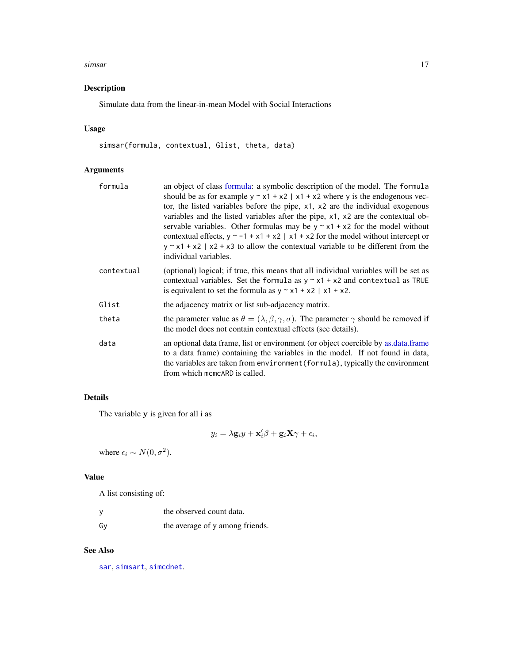#### <span id="page-16-0"></span>simsar the contract of the contract of the contract of the contract of the contract of the contract of the contract of the contract of the contract of the contract of the contract of the contract of the contract of the con

## Description

Simulate data from the linear-in-mean Model with Social Interactions

# Usage

simsar(formula, contextual, Glist, theta, data)

## Arguments

| formula    | an object of class formula: a symbolic description of the model. The formula<br>should be as for example $y \sim x1 + x2$   $x1 + x2$ where y is the endogenous vec-<br>tor, the listed variables before the pipe, x1, x2 are the individual exogenous<br>variables and the listed variables after the pipe, $x1$ , $x2$ are the contextual ob-<br>servable variables. Other formulas may be $y \sim x1 + x2$ for the model without<br>contextual effects, $y \sim -1 + x1 + x2$   x1 + x2 for the model without intercept or<br>$y \sim x1 + x2$   x2 + x3 to allow the contextual variable to be different from the<br>individual variables. |
|------------|------------------------------------------------------------------------------------------------------------------------------------------------------------------------------------------------------------------------------------------------------------------------------------------------------------------------------------------------------------------------------------------------------------------------------------------------------------------------------------------------------------------------------------------------------------------------------------------------------------------------------------------------|
| contextual | (optional) logical; if true, this means that all individual variables will be set as<br>contextual variables. Set the formula as $y \sim x1 + x2$ and contextual as TRUE<br>is equivalent to set the formula as $y \sim x1 + x2$   $x1 + x2$ .                                                                                                                                                                                                                                                                                                                                                                                                 |
| Glist      | the adjacency matrix or list sub-adjacency matrix.                                                                                                                                                                                                                                                                                                                                                                                                                                                                                                                                                                                             |
| theta      | the parameter value as $\theta = (\lambda, \beta, \gamma, \sigma)$ . The parameter $\gamma$ should be removed if<br>the model does not contain contextual effects (see details).                                                                                                                                                                                                                                                                                                                                                                                                                                                               |
| data       | an optional data frame, list or environment (or object coercible by as data frame<br>to a data frame) containing the variables in the model. If not found in data,<br>the variables are taken from environment (formula), typically the environment<br>from which memear is called.                                                                                                                                                                                                                                                                                                                                                            |

# Details

The variable y is given for all i as

$$
y_i = \lambda \mathbf{g}_i y + \mathbf{x}'_i \beta + \mathbf{g}_i \mathbf{X} \gamma + \epsilon_i,
$$

where  $\epsilon_i \sim N(0, \sigma^2)$ .

## Value

A list consisting of:

|    | the observed count data.        |
|----|---------------------------------|
| Gv | the average of y among friends. |

## See Also

[sar](#page-8-1), [simsart](#page-17-1), [simcdnet](#page-13-1).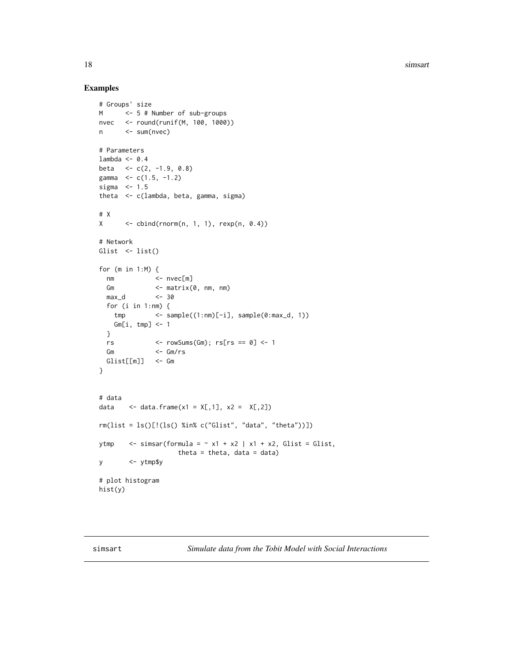18 simsart

## Examples

```
# Groups' size
M <- 5 # Number of sub-groups
nvec <- round(runif(M, 100, 1000))
n <- sum(nvec)
# Parameters
lambda <- 0.4
beta <- c(2, -1.9, 0.8)
gamma <- c(1.5, -1.2)
sigma <-1.5theta <- c(lambda, beta, gamma, sigma)
# X
X \leftarrow \text{cbind}(rnorm(n, 1, 1), rexp(n, 0.4))# Network
Glist \leftarrow list()
for (m in 1:M) {
 nm <- nvec[m]
 Gm <- matrix(0, nm, nm)
 max_d <- 30
 for (i in 1:nm) {
   tmp <- sample((1:nm)[-i], sample(0:max_d, 1))
   Gm[i, tmp] <- 1
 }
 rs <- rowSums(Gm); rs[rs == 0] <- 1
 Gm \leq Gm/rs
 Glist[[m]] <- Gm
}
# data
data \leq data.frame(x1 = X[,1], x2 = X[,2])
rm(list = ls()[!(ls() %in% c("Glist", "data", "theta"))])
ytmp \langle - simsar(formula = \sim x1 + x2 | x1 + x2, Glist = Glist,
                   theta = theta, data = data)
y <- ytmp$y
# plot histogram
hist(y)
```
<span id="page-17-1"></span>simsart *Simulate data from the Tobit Model with Social Interactions*

<span id="page-17-0"></span>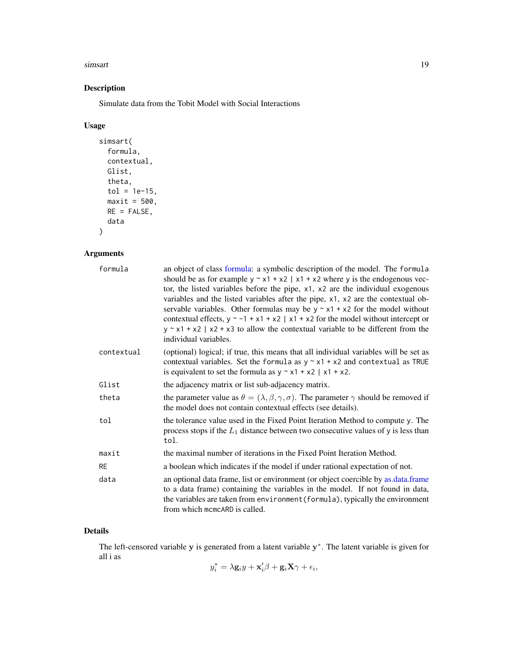#### <span id="page-18-0"></span>simsart to the contract of the contract of the contract of the contract of the contract of the contract of the contract of the contract of the contract of the contract of the contract of the contract of the contract of the

# Description

Simulate data from the Tobit Model with Social Interactions

# Usage

```
simsart(
 formula,
 contextual,
 Glist,
  theta,
 tol = 1e-15,maxit = 500,
 RE = FALSE,data
)
```
# Arguments

| formula    | an object of class formula: a symbolic description of the model. The formula<br>should be as for example $y \sim x1 + x2$   x1 + x2 where y is the endogenous vec-<br>tor, the listed variables before the pipe, x1, x2 are the individual exogenous<br>variables and the listed variables after the pipe, x1, x2 are the contextual ob-<br>servable variables. Other formulas may be $y \sim x1 + x2$ for the model without<br>contextual effects, $y \sim -1 + x1 + x2$   x1 + x2 for the model without intercept or<br>$y \sim x1 + x2$   x2 + x3 to allow the contextual variable to be different from the<br>individual variables. |
|------------|-----------------------------------------------------------------------------------------------------------------------------------------------------------------------------------------------------------------------------------------------------------------------------------------------------------------------------------------------------------------------------------------------------------------------------------------------------------------------------------------------------------------------------------------------------------------------------------------------------------------------------------------|
| contextual | (optional) logical; if true, this means that all individual variables will be set as<br>contextual variables. Set the formula as $y \sim x1 + x2$ and contextual as TRUE<br>is equivalent to set the formula as $y \sim x1 + x2$   x1 + x2.                                                                                                                                                                                                                                                                                                                                                                                             |
| Glist      | the adjacency matrix or list sub-adjacency matrix.                                                                                                                                                                                                                                                                                                                                                                                                                                                                                                                                                                                      |
| theta      | the parameter value as $\theta = (\lambda, \beta, \gamma, \sigma)$ . The parameter $\gamma$ should be removed if<br>the model does not contain contextual effects (see details).                                                                                                                                                                                                                                                                                                                                                                                                                                                        |
| tol        | the tolerance value used in the Fixed Point Iteration Method to compute y. The<br>process stops if the $L_1$ distance between two consecutive values of y is less than<br>tol.                                                                                                                                                                                                                                                                                                                                                                                                                                                          |
| maxit      | the maximal number of iterations in the Fixed Point Iteration Method.                                                                                                                                                                                                                                                                                                                                                                                                                                                                                                                                                                   |
| RE         | a boolean which indicates if the model if under rational expectation of not.                                                                                                                                                                                                                                                                                                                                                                                                                                                                                                                                                            |
| data       | an optional data frame, list or environment (or object coercible by as data frame<br>to a data frame) containing the variables in the model. If not found in data,<br>the variables are taken from environment (formula), typically the environment<br>from which memear is called.                                                                                                                                                                                                                                                                                                                                                     |

## Details

The left-censored variable  $y$  is generated from a latent variable  $y^*$ . The latent variable is given for all i as

$$
y_i^* = \lambda \mathbf{g}_i y + \mathbf{x}_i' \beta + \mathbf{g}_i \mathbf{X} \gamma + \epsilon_i,
$$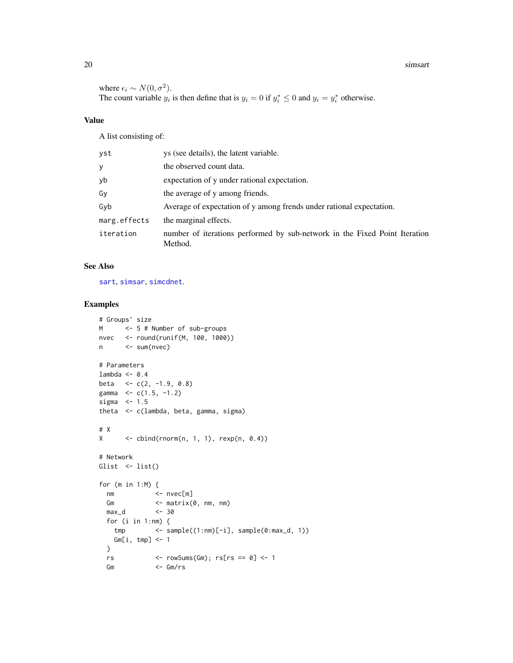#### 20 simsart

where  $\epsilon_i \sim N(0, \sigma^2)$ . The count variable  $y_i$  is then define that is  $y_i = 0$  if  $y_i^* \le 0$  and  $y_i = y_i^*$  otherwise.

## Value

A list consisting of:

| vst          | ys (see details), the latent variable.                                                |
|--------------|---------------------------------------------------------------------------------------|
| у            | the observed count data.                                                              |
| yb           | expectation of y under rational expectation.                                          |
| Gν           | the average of y among friends.                                                       |
| Gyb          | Average of expectation of y among frends under rational expectation.                  |
| marg.effects | the marginal effects.                                                                 |
| iteration    | number of iterations performed by sub-network in the Fixed Point Iteration<br>Method. |

#### See Also

[sart](#page-10-1), [simsar](#page-15-1), [simcdnet](#page-13-1).

#### Examples

```
# Groups' size
M <- 5 # Number of sub-groups
nvec <- round(runif(M, 100, 1000))
n <- sum(nvec)
# Parameters
lambda <-0.4beta <-c(2, -1.9, 0.8)gamma \leq -c(1.5, -1.2)sigma <-1.5theta <- c(lambda, beta, gamma, sigma)
# X
X \leftarrow \text{cbind}(rnorm(n, 1, 1), rexp(n, 0.4))# Network
Glist \leftarrow list()
for (m in 1:M) {
 nm <- nvec[m]
 Gm <- matrix(0, nm, nm)
  max_d <- 30
  for (i in 1:nm) {
   tmp <- sample((1:nm)[-i], sample(0:max_d, 1))
   Gm[i, tmp] < -1}
  rs \leftarrow rowSums(Gm); rs[rs == 0] \leftarrow 1Gm <- Gm/rs
```
<span id="page-19-0"></span>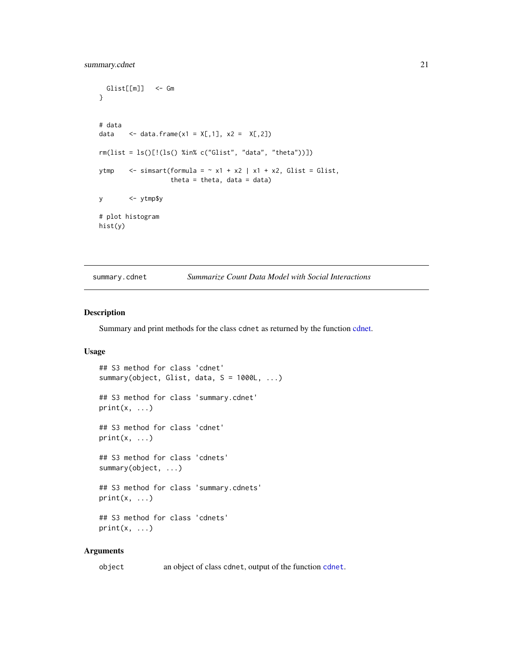```
Glist[[m]] <- Gm
}
# data
data \leq data.frame(x1 = X[,1], x2 = X[,2])
rm(list = ls()[!(ls() %in% c("Glist", "data", "theta"))])
ytmp \le simsart(formula = \sim x1 + x2 | x1 + x2, Glist = Glist,
                  theta = theta, data = data)
y <- ytmp$y
# plot histogram
hist(y)
```
<span id="page-20-1"></span>summary.cdnet *Summarize Count Data Model with Social Interactions*

#### Description

Summary and print methods for the class cdnet as returned by the function [cdnet.](#page-2-1)

#### Usage

```
## S3 method for class 'cdnet'
summary(object, Glist, data, S = 1000L, ...)
## S3 method for class 'summary.cdnet'
print(x, \ldots)## S3 method for class 'cdnet'
print(x, \ldots)## S3 method for class 'cdnets'
summary(object, ...)
## S3 method for class 'summary.cdnets'
print(x, \ldots)## S3 method for class 'cdnets'
print(x, \ldots)
```
#### Arguments

object an object of class cdnet, output of the function [cdnet](#page-2-1).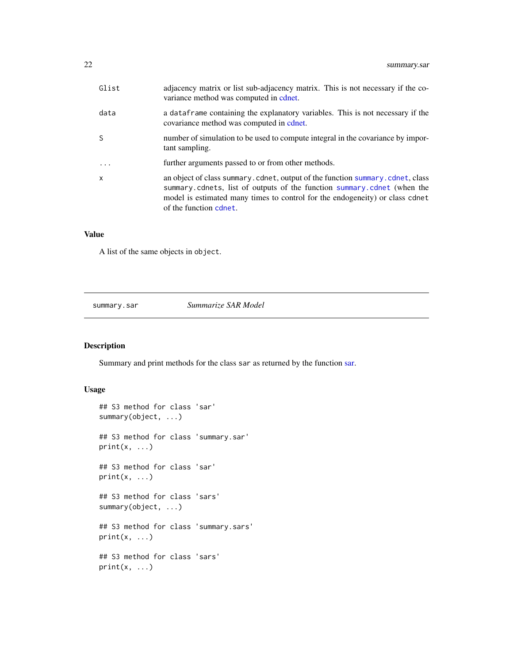<span id="page-21-0"></span>

| Glist        | adjacency matrix or list sub-adjacency matrix. This is not necessary if the co-<br>variance method was computed in cont.                                                                                                                                           |
|--------------|--------------------------------------------------------------------------------------------------------------------------------------------------------------------------------------------------------------------------------------------------------------------|
| data         | a data frame containing the explanatory variables. This is not necessary if the<br>covariance method was computed in cdnet.                                                                                                                                        |
| S            | number of simulation to be used to compute integral in the covariance by impor-<br>tant sampling.                                                                                                                                                                  |
| $\cdot$      | further arguments passed to or from other methods.                                                                                                                                                                                                                 |
| $\mathsf{x}$ | an object of class summary.cdnet, output of the function summary.cdnet, class<br>summary.cdnets, list of outputs of the function summary.cdnet (when the<br>model is estimated many times to control for the endogeneity) or class cdnet<br>of the function cdnet. |

#### Value

A list of the same objects in object.

<span id="page-21-1"></span>summary.sar *Summarize SAR Model*

# Description

Summary and print methods for the class sar as returned by the function [sar.](#page-8-1)

## Usage

```
## S3 method for class 'sar'
summary(object, ...)
## S3 method for class 'summary.sar'
print(x, \ldots)## S3 method for class 'sar'
print(x, \ldots)## S3 method for class 'sars'
summary(object, ...)
## S3 method for class 'summary.sars'
print(x, \ldots)## S3 method for class 'sars'
print(x, \ldots)
```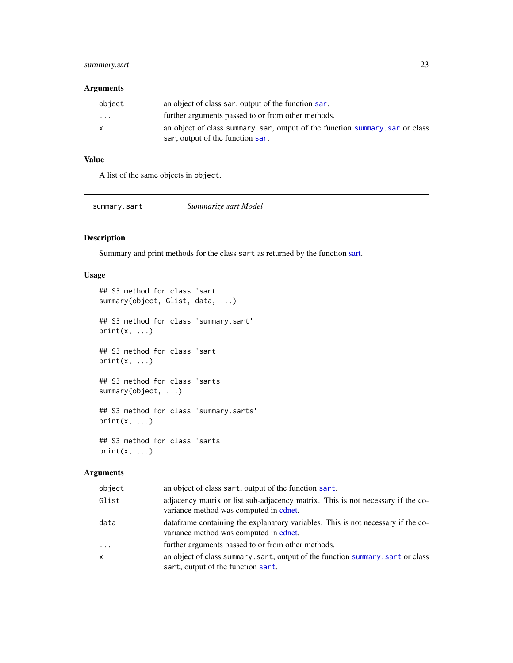## <span id="page-22-0"></span>summary.sart 23

#### Arguments

| object   | an object of class sar, output of the function sar.                         |
|----------|-----------------------------------------------------------------------------|
| $\cdots$ | further arguments passed to or from other methods.                          |
| x        | an object of class summary sar, output of the function summary sar or class |
|          | sar, output of the function sar.                                            |

## Value

A list of the same objects in object.

<span id="page-22-1"></span>

| summary.sart | Summarize sart Model |  |
|--------------|----------------------|--|
|              |                      |  |

## Description

Summary and print methods for the class sart as returned by the function [sart.](#page-10-1)

## Usage

```
## S3 method for class 'sart'
summary(object, Glist, data, ...)
## S3 method for class 'summary.sart'
print(x, \ldots)## S3 method for class 'sart'
print(x, \ldots)## S3 method for class 'sarts'
summary(object, ...)
## S3 method for class 'summary.sarts'
print(x, \ldots)## S3 method for class 'sarts'
print(x, \ldots)
```
#### Arguments

| object   | an object of class sart, output of the function sart.                                                                      |
|----------|----------------------------------------------------------------------------------------------------------------------------|
| Glist    | adjacency matrix or list sub-adjacency matrix. This is not necessary if the co-<br>variance method was computed in cdnet.  |
| data     | data frame containing the explanatory variables. This is not necessary if the co-<br>variance method was computed in cont. |
| $\cdots$ | further arguments passed to or from other methods.                                                                         |
| x        | an object of class summary.sart, output of the function summary.sart or class<br>sart, output of the function sart.        |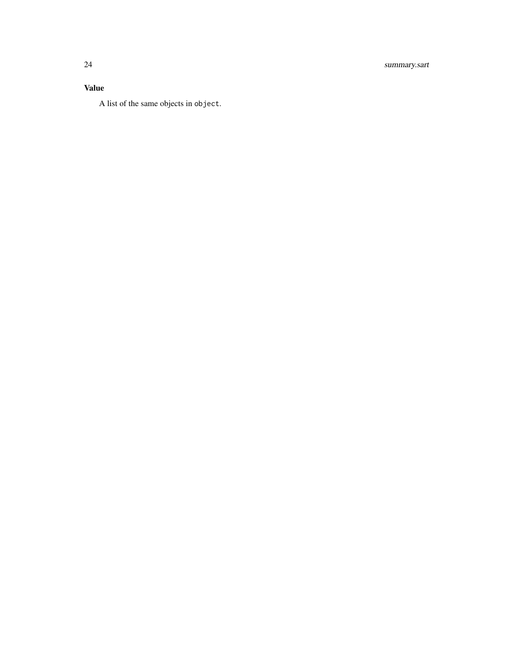## Value

A list of the same objects in object.